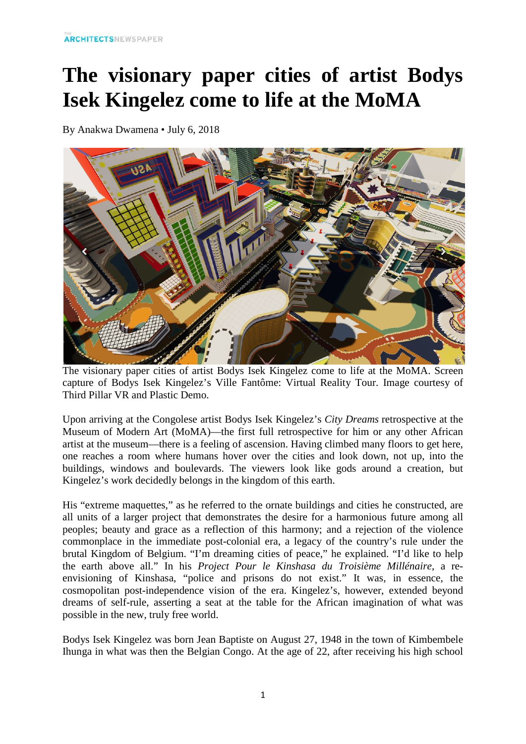## **The visionary paper cities of artist Bodys Isek Kingelez come to life at the MoMA**

By Anakwa Dwamena • July 6, 2018



The visionary paper cities of artist Bodys Isek Kingelez come to life at the MoMA. Screen capture of Bodys Isek Kingelez's Ville Fantôme: Virtual Reality Tour. Image courtesy of Third Pillar VR and Plastic Demo.

Upon arriving at the Congolese artist Bodys Isek Kingelez's *City Dreams* retrospective at the Museum of Modern Art (MoMA)—the first full retrospective for him or any other African artist at the museum—there is a feeling of ascension. Having climbed many floors to get here, one reaches a room where humans hover over the cities and look down, not up, into the buildings, windows and boulevards. The viewers look like gods around a creation, but Kingelez's work decidedly belongs in the kingdom of this earth.

His "extreme maquettes," as he referred to the ornate buildings and cities he constructed, are all units of a larger project that demonstrates the desire for a harmonious future among all peoples; beauty and grace as a reflection of this harmony; and a rejection of the violence commonplace in the immediate post-colonial era, a legacy of the country's rule under the brutal Kingdom of Belgium. "I'm dreaming cities of peace," he explained. "I'd like to help the earth above all." In his *Project Pour le Kinshasa du Troisième Millénaire*, a reenvisioning of Kinshasa, "police and prisons do not exist." It was, in essence, the cosmopolitan post-independence vision of the era. Kingelez's, however, extended beyond dreams of self-rule, asserting a seat at the table for the African imagination of what was possible in the new, truly free world.

Bodys Isek Kingelez was born Jean Baptiste on August 27, 1948 in the town of Kimbembele Ihunga in what was then the Belgian Congo. At the age of 22, after receiving his high school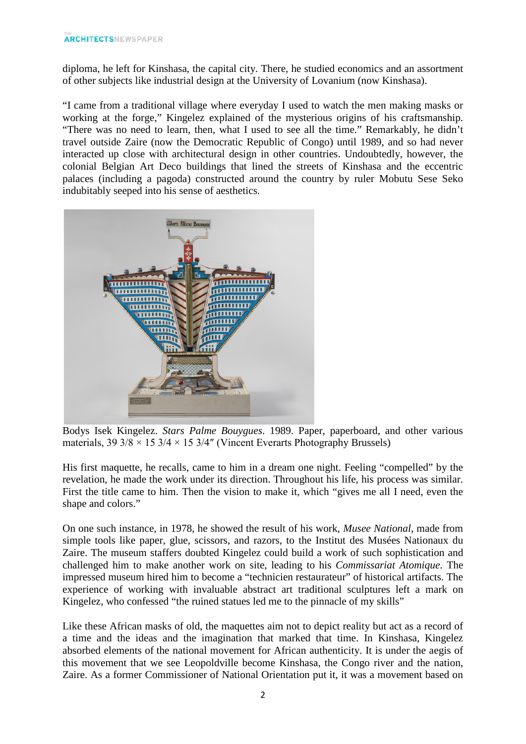diploma, he left for Kinshasa, the capital city. There, he studied economics and an assortment of other subjects like industrial design at the University of Lovanium (now Kinshasa).

"I came from a traditional village where everyday I used to watch the men making masks or working at the forge," Kingelez explained of the mysterious origins of his craftsmanship. "There was no need to learn, then, what I used to see all the time." Remarkably, he didn't travel outside Zaire (now the Democratic Republic of Congo) until 1989, and so had never interacted up close with architectural design in other countries. Undoubtedly, however, the colonial Belgian Art Deco buildings that lined the streets of Kinshasa and the eccentric palaces (including a pagoda) constructed around the country by ruler Mobutu Sese Seko indubitably seeped into his sense of aesthetics.



Bodys Isek Kingelez. *Stars Palme Bouygues*. 1989. Paper, paperboard, and other various materials,  $39 \frac{3}{8} \times 15 \frac{3}{4} \times 15 \frac{3}{4}$ " (Vincent Everarts Photography Brussels)

His first maquette, he recalls, came to him in a dream one night. Feeling "compelled" by the revelation, he made the work under its direction. Throughout his life, his process was similar. First the title came to him. Then the vision to make it, which "gives me all I need, even the shape and colors."

On one such instance, in 1978, he showed the result of his work, *Musee National*, made from simple tools like paper, glue, scissors, and razors, to the Institut des Musées Nationaux du Zaire. The museum staffers doubted Kingelez could build a work of such sophistication and challenged him to make another work on site, leading to his *Commissariat Atomique*. The impressed museum hired him to become a "technicien restaurateur" of historical artifacts. The experience of working with invaluable abstract art traditional sculptures left a mark on Kingelez, who confessed "the ruined statues led me to the pinnacle of my skills"

Like these African masks of old, the maquettes aim not to depict reality but act as a record of a time and the ideas and the imagination that marked that time. In Kinshasa, Kingelez absorbed elements of the national movement for African authenticity. It is under the aegis of this movement that we see Leopoldville become Kinshasa, the Congo river and the nation, Zaire. As a former Commissioner of National Orientation put it, it was a movement based on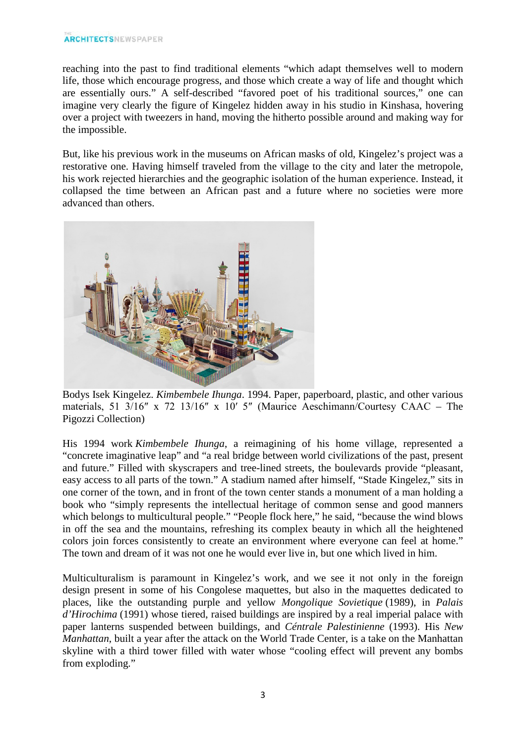reaching into the past to find traditional elements "which adapt themselves well to modern life, those which encourage progress, and those which create a way of life and thought which are essentially ours." A self-described "favored poet of his traditional sources," one can imagine very clearly the figure of Kingelez hidden away in his studio in Kinshasa, hovering over a project with tweezers in hand, moving the hitherto possible around and making way for the impossible.

But, like his previous work in the museums on African masks of old, Kingelez's project was a restorative one. Having himself traveled from the village to the city and later the metropole, his work rejected hierarchies and the geographic isolation of the human experience. Instead, it collapsed the time between an African past and a future where no societies were more advanced than others.



Bodys Isek Kingelez. *Kimbembele Ihunga*. 1994. Paper, paperboard, plastic, and other various materials, 51 3/16″ x 72 13/16″ x 10′ 5″ (Maurice Aeschimann/Courtesy CAAC – The Pigozzi Collection)

His 1994 work *Kimbembele Ihunga*, a reimagining of his home village, represented a "concrete imaginative leap" and "a real bridge between world civilizations of the past, present and future." Filled with skyscrapers and tree-lined streets, the boulevards provide "pleasant, easy access to all parts of the town." A stadium named after himself, "Stade Kingelez," sits in one corner of the town, and in front of the town center stands a monument of a man holding a book who "simply represents the intellectual heritage of common sense and good manners which belongs to multicultural people." "People flock here," he said, "because the wind blows in off the sea and the mountains, refreshing its complex beauty in which all the heightened colors join forces consistently to create an environment where everyone can feel at home." The town and dream of it was not one he would ever live in, but one which lived in him.

Multiculturalism is paramount in Kingelez's work, and we see it not only in the foreign design present in some of his Congolese maquettes, but also in the maquettes dedicated to places, like the outstanding purple and yellow *Mongolique Sovietique* (1989), in *Palais d'Hirochima* (1991) whose tiered, raised buildings are inspired by a real imperial palace with paper lanterns suspended between buildings, and *Céntrale Palestinienne* (1993). His *New Manhattan*, built a year after the attack on the World Trade Center, is a take on the Manhattan skyline with a third tower filled with water whose "cooling effect will prevent any bombs from exploding."